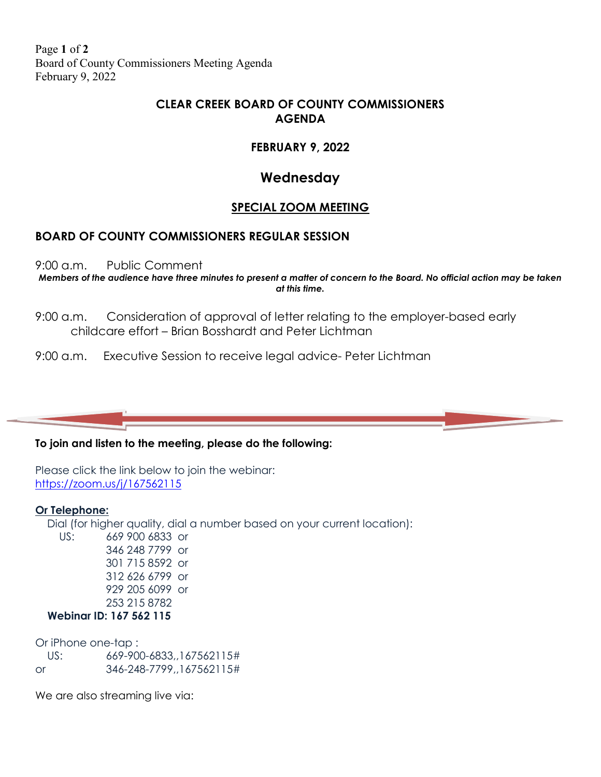Page **1** of **2** Board of County Commissioners Meeting Agenda February 9, 2022

# **CLEAR CREEK BOARD OF COUNTY COMMISSIONERS AGENDA**

# **FEBRUARY 9, 2022**

# **Wednesday**

### **SPECIAL ZOOM MEETING**

### **BOARD OF COUNTY COMMISSIONERS REGULAR SESSION**

9:00 a.m. Public Comment

*Members of the audience have three minutes to present a matter of concern to the Board. No official action may be taken at this time.*

- 9:00 a.m. Consideration of approval of letter relating to the employer-based early childcare effort – Brian Bosshardt and Peter Lichtman
- 9:00 a.m. Executive Session to receive legal advice- Peter Lichtman

#### **To join and listen to the meeting, please do the following:**

Please click the link below to join the webinar: <https://zoom.us/j/167562115>

#### **Or Telephone:**

 Dial (for higher quality, dial a number based on your current location): US: 669 900 6833 or 346 248 7799 or 301 715 8592 or 312 626 6799 or 929 205 6099 or 253 215 8782

#### **Webinar ID: 167 562 115**

Or iPhone one-tap : US: 669-900-6833,,167562115# or 346-248-7799,,167562115#

We are also streaming live via: